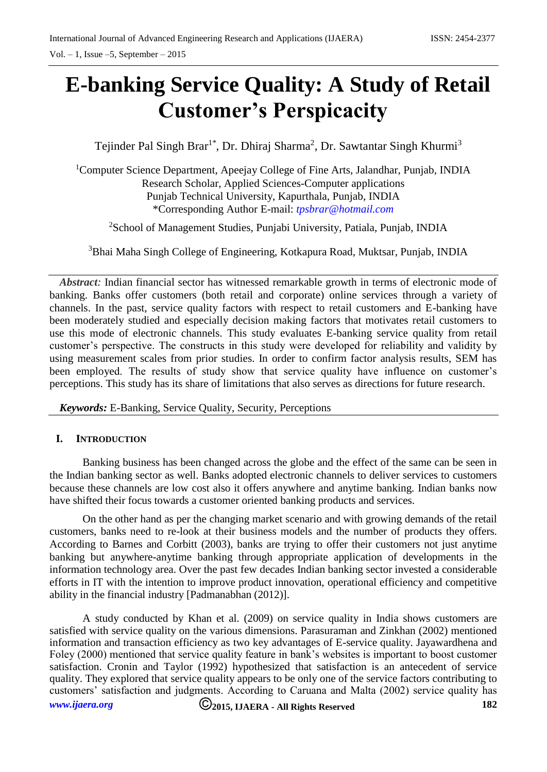# **E-banking Service Quality: A Study of Retail Customer's Perspicacity**

Tejinder Pal Singh Brar<sup>1\*</sup>, Dr. Dhiraj Sharma<sup>2</sup>, Dr. Sawtantar Singh Khurmi<sup>3</sup>

<sup>1</sup>Computer Science Department, Apeejay College of Fine Arts, Jalandhar, Punjab, INDIA Research Scholar, Applied Sciences-Computer applications Punjab Technical University, Kapurthala, Punjab, INDIA \*Corresponding Author E-mail: *<tpsbrar@hotmail.com>*

<sup>2</sup>School of Management Studies, Punjabi University, Patiala, Punjab, INDIA

<sup>3</sup>Bhai Maha Singh College of Engineering, Kotkapura Road, Muktsar, Punjab, INDIA

*Abstract:* Indian financial sector has witnessed remarkable growth in terms of electronic mode of banking. Banks offer customers (both retail and corporate) online services through a variety of channels. In the past, service quality factors with respect to retail customers and E-banking have been moderately studied and especially decision making factors that motivates retail customers to use this mode of electronic channels. This study evaluates E-banking service quality from retail customer's perspective. The constructs in this study were developed for reliability and validity by using measurement scales from prior studies. In order to confirm factor analysis results, SEM has been employed. The results of study show that service quality have influence on customer's perceptions. This study has its share of limitations that also serves as directions for future research.

*Keywords:* E-Banking, Service Quality, Security, Perceptions

## **I. INTRODUCTION**

Banking business has been changed across the globe and the effect of the same can be seen in the Indian banking sector as well. Banks adopted electronic channels to deliver services to customers because these channels are low cost also it offers anywhere and anytime banking. Indian banks now have shifted their focus towards a customer oriented banking products and services.

On the other hand as per the changing market scenario and with growing demands of the retail customers, banks need to re-look at their business models and the number of products they offers. According to Barnes and Corbitt (2003), banks are trying to offer their customers not just anytime banking but anywhere-anytime banking through appropriate application of developments in the information technology area. Over the past few decades Indian banking sector invested a considerable efforts in IT with the intention to improve product innovation, operational efficiency and competitive ability in the financial industry [Padmanabhan (2012)].

*[www.ijaera.org](../../www.ijaera.org)* **2015, IJAERA - All Rights Reserved 182** A study conducted by Khan et al. (2009) on service quality in India shows customers are satisfied with service quality on the various dimensions. Parasuraman and Zinkhan (2002) mentioned information and transaction efficiency as two key advantages of E-service quality. Jayawardhena and Foley (2000) mentioned that service quality feature in bank's websites is important to boost customer satisfaction. Cronin and Taylor (1992) hypothesized that satisfaction is an antecedent of service quality. They explored that service quality appears to be only one of the service factors contributing to customers' satisfaction and judgments. According to Caruana and Malta (2002) service quality has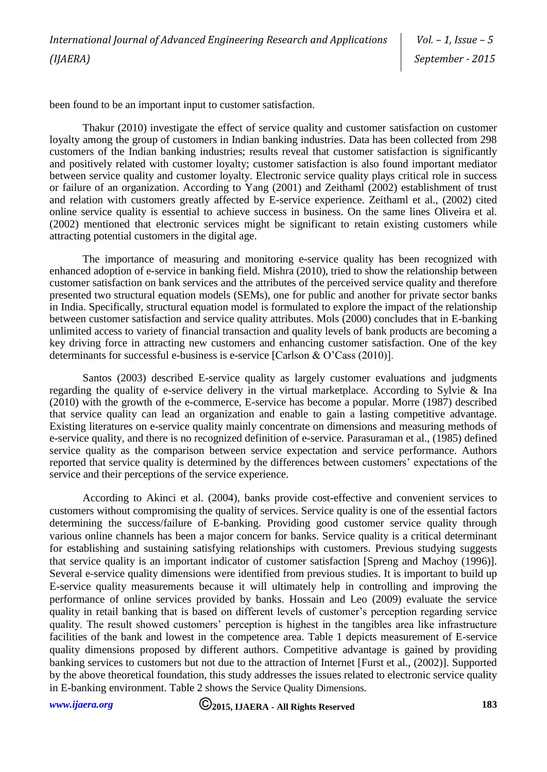*Vol. – 1, Issue – 5 September - 2015*

been found to be an important input to customer satisfaction.

Thakur (2010) investigate the effect of service quality and customer satisfaction on customer loyalty among the group of customers in Indian banking industries. Data has been collected from 298 customers of the Indian banking industries; results reveal that customer satisfaction is significantly and positively related with customer loyalty; customer satisfaction is also found important mediator between service quality and customer loyalty. Electronic service quality plays critical role in success or failure of an organization. According to Yang (2001) and Zeithaml (2002) establishment of trust and relation with customers greatly affected by E-service experience. Zeithaml et al., (2002) cited online service quality is essential to achieve success in business. On the same lines Oliveira et al. (2002) mentioned that electronic services might be significant to retain existing customers while attracting potential customers in the digital age.

The importance of measuring and monitoring e-service quality has been recognized with enhanced adoption of e-service in banking field. Mishra (2010), tried to show the relationship between customer satisfaction on bank services and the attributes of the perceived service quality and therefore presented two structural equation models (SEMs), one for public and another for private sector banks in India. Specifically, structural equation model is formulated to explore the impact of the relationship between customer satisfaction and service quality attributes. Mols (2000) concludes that in E-banking unlimited access to variety of financial transaction and quality levels of bank products are becoming a key driving force in attracting new customers and enhancing customer satisfaction. One of the key determinants for successful e-business is e-service [Carlson & O'Cass (2010)].

Santos (2003) described E-service quality as largely customer evaluations and judgments regarding the quality of e-service delivery in the virtual marketplace. According to Sylvie & Ina (2010) with the growth of the e-commerce, E-service has become a popular. Morre (1987) described that service quality can lead an organization and enable to gain a lasting competitive advantage. Existing literatures on e-service quality mainly concentrate on dimensions and measuring methods of e-service quality, and there is no recognized definition of e-service. Parasuraman et al., (1985) defined service quality as the comparison between service expectation and service performance. Authors reported that service quality is determined by the differences between customers' expectations of the service and their perceptions of the service experience.

According to Akinci et al. (2004), banks provide cost-effective and convenient services to customers without compromising the quality of services. Service quality is one of the essential factors determining the success/failure of E-banking. Providing good customer service quality through various online channels has been a major concern for banks. Service quality is a critical determinant for establishing and sustaining satisfying relationships with customers. Previous studying suggests that service quality is an important indicator of customer satisfaction [Spreng and Machoy (1996)]. Several e-service quality dimensions were identified from previous studies. It is important to build up E-service quality measurements because it will ultimately help in controlling and improving the performance of online services provided by banks. Hossain and Leo (2009) evaluate the service quality in retail banking that is based on different levels of customer's perception regarding service quality. The result showed customers' perception is highest in the tangibles area like infrastructure facilities of the bank and lowest in the competence area. Table 1 depicts measurement of E-service quality dimensions proposed by different authors. Competitive advantage is gained by providing banking services to customers but not due to the attraction of Internet [Furst et al., (2002)]. Supported by the above theoretical foundation, this study addresses the issues related to electronic service quality in E-banking environment. Table 2 shows the Service Quality Dimensions.

*[www.ijaera.org](../../www.ijaera.org)* **2015, IJAERA - All Rights Reserved 183**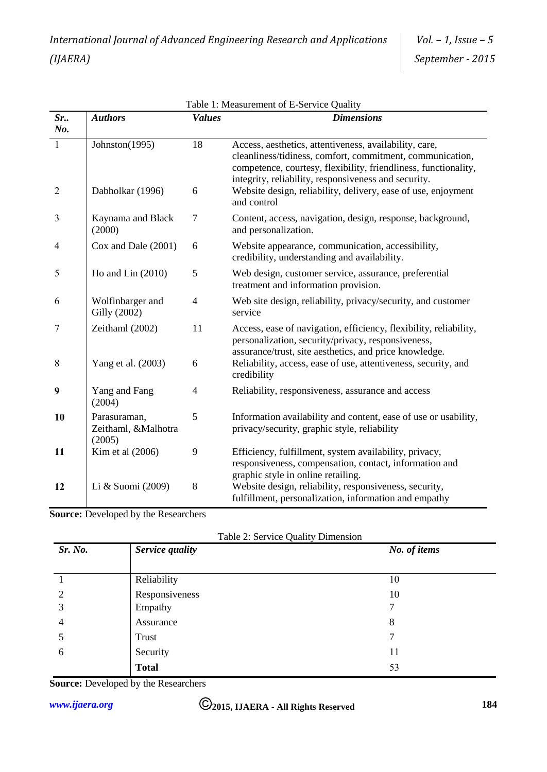|                                | Table 1: Measurement of E-Service Quality     |                |                                                                                                                                                                                                                                                                                                                 |  |  |
|--------------------------------|-----------------------------------------------|----------------|-----------------------------------------------------------------------------------------------------------------------------------------------------------------------------------------------------------------------------------------------------------------------------------------------------------------|--|--|
| Sr.                            | <b>Authors</b>                                | <b>Values</b>  | <b>Dimensions</b>                                                                                                                                                                                                                                                                                               |  |  |
| No.                            |                                               |                |                                                                                                                                                                                                                                                                                                                 |  |  |
| $\mathbf{1}$<br>$\overline{2}$ | Johnston(1995)<br>Dabholkar (1996)            | 18<br>6        | Access, aesthetics, attentiveness, availability, care,<br>cleanliness/tidiness, comfort, commitment, communication,<br>competence, courtesy, flexibility, friendliness, functionality,<br>integrity, reliability, responsiveness and security.<br>Website design, reliability, delivery, ease of use, enjoyment |  |  |
|                                |                                               |                | and control                                                                                                                                                                                                                                                                                                     |  |  |
| 3                              | Kaynama and Black<br>(2000)                   | $\tau$         | Content, access, navigation, design, response, background,<br>and personalization.                                                                                                                                                                                                                              |  |  |
| $\overline{4}$                 | Cox and Dale (2001)                           | 6              | Website appearance, communication, accessibility,<br>credibility, understanding and availability.                                                                                                                                                                                                               |  |  |
| 5                              | Ho and Lin $(2010)$                           | 5              | Web design, customer service, assurance, preferential<br>treatment and information provision.                                                                                                                                                                                                                   |  |  |
| 6                              | Wolfinbarger and<br>Gilly (2002)              | $\overline{4}$ | Web site design, reliability, privacy/security, and customer<br>service                                                                                                                                                                                                                                         |  |  |
| 7                              | Zeithaml (2002)                               | 11             | Access, ease of navigation, efficiency, flexibility, reliability,<br>personalization, security/privacy, responsiveness,<br>assurance/trust, site aesthetics, and price knowledge.                                                                                                                               |  |  |
| 8                              | Yang et al. (2003)                            | 6              | Reliability, access, ease of use, attentiveness, security, and<br>credibility                                                                                                                                                                                                                                   |  |  |
| 9                              | Yang and Fang<br>(2004)                       | 4              | Reliability, responsiveness, assurance and access                                                                                                                                                                                                                                                               |  |  |
| 10                             | Parasuraman,<br>Zeithaml, &Malhotra<br>(2005) | 5              | Information availability and content, ease of use or usability,<br>privacy/security, graphic style, reliability                                                                                                                                                                                                 |  |  |
| 11                             | Kim et al (2006)                              | 9              | Efficiency, fulfillment, system availability, privacy,<br>responsiveness, compensation, contact, information and<br>graphic style in online retailing.                                                                                                                                                          |  |  |
| 12                             | Li & Suomi (2009)                             | 8              | Website design, reliability, responsiveness, security,<br>fulfillment, personalization, information and empathy                                                                                                                                                                                                 |  |  |

**Source:** Developed by the Researchers

| Sr. No.             | $1.0018$ $\rightarrow$ $1.008$ $\rightarrow$ $1.001$ $\rightarrow$ $1.001$<br>Service quality | No. of items |
|---------------------|-----------------------------------------------------------------------------------------------|--------------|
|                     | Reliability                                                                                   | 10           |
| $\overline{2}$<br>3 | Responsiveness<br>Empathy                                                                     | 10<br>7      |
| $\overline{4}$      | Assurance                                                                                     | 8            |
| 5                   | Trust                                                                                         | 7            |
| 6                   | Security                                                                                      | 11           |
|                     | <b>Total</b>                                                                                  | 53           |

**Source:** Developed by the Researchers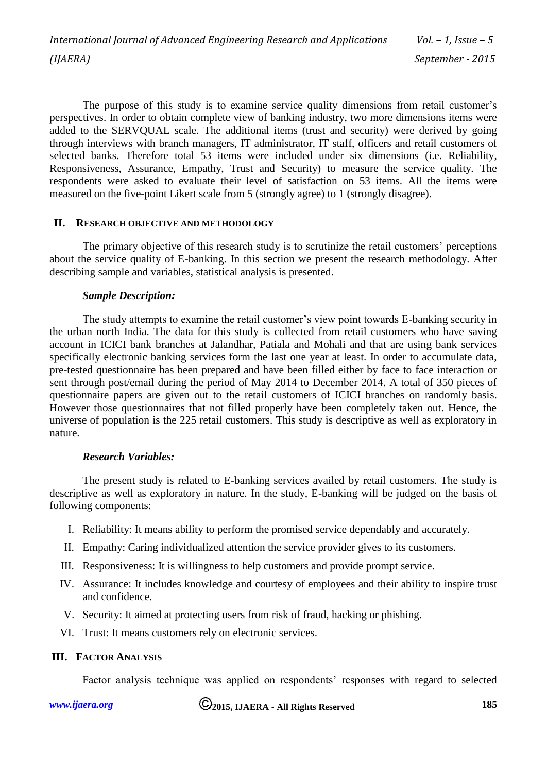The purpose of this study is to examine service quality dimensions from retail customer's perspectives. In order to obtain complete view of banking industry, two more dimensions items were added to the SERVQUAL scale. The additional items (trust and security) were derived by going through interviews with branch managers, IT administrator, IT staff, officers and retail customers of selected banks. Therefore total 53 items were included under six dimensions (i.e. Reliability, Responsiveness, Assurance, Empathy, Trust and Security) to measure the service quality. The respondents were asked to evaluate their level of satisfaction on 53 items. All the items were measured on the five-point Likert scale from 5 (strongly agree) to 1 (strongly disagree).

## **II. RESEARCH OBJECTIVE AND METHODOLOGY**

The primary objective of this research study is to scrutinize the retail customers' perceptions about the service quality of E-banking. In this section we present the research methodology. After describing sample and variables, statistical analysis is presented.

## *Sample Description:*

The study attempts to examine the retail customer's view point towards E-banking security in the urban north India. The data for this study is collected from retail customers who have saving account in ICICI bank branches at Jalandhar, Patiala and Mohali and that are using bank services specifically electronic banking services form the last one year at least. In order to accumulate data, pre-tested questionnaire has been prepared and have been filled either by face to face interaction or sent through post/email during the period of May 2014 to December 2014. A total of 350 pieces of questionnaire papers are given out to the retail customers of ICICI branches on randomly basis. However those questionnaires that not filled properly have been completely taken out. Hence, the universe of population is the 225 retail customers. This study is descriptive as well as exploratory in nature.

## *Research Variables:*

The present study is related to E-banking services availed by retail customers. The study is descriptive as well as exploratory in nature. In the study, E-banking will be judged on the basis of following components:

- I. Reliability: It means ability to perform the promised service dependably and accurately.
- II. Empathy: Caring individualized attention the service provider gives to its customers.
- III. Responsiveness: It is willingness to help customers and provide prompt service.
- IV. Assurance: It includes knowledge and courtesy of employees and their ability to inspire trust and confidence.
- V. Security: It aimed at protecting users from risk of fraud, hacking or phishing.
- VI. Trust: It means customers rely on electronic services.

# **III. FACTOR ANALYSIS**

Factor analysis technique was applied on respondents' responses with regard to selected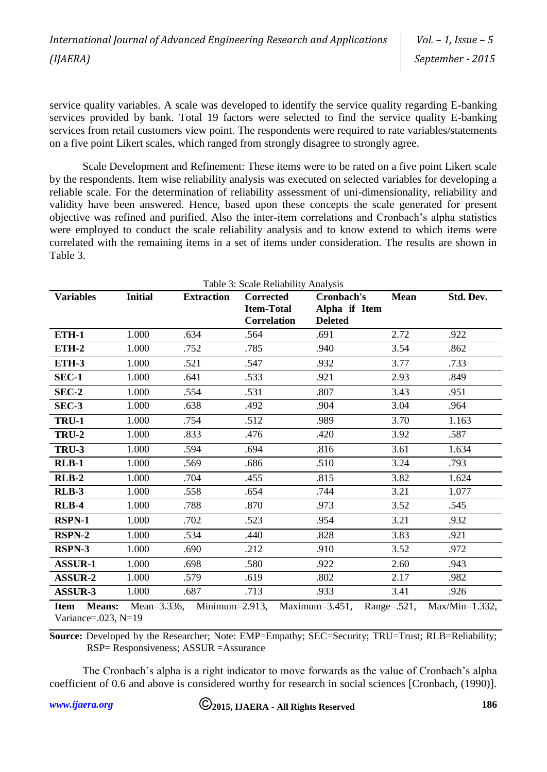service quality variables. A scale was developed to identify the service quality regarding E-banking services provided by bank. Total 19 factors were selected to find the service quality E-banking services from retail customers view point. The respondents were required to rate variables/statements on a five point Likert scales, which ranged from strongly disagree to strongly agree.

Scale Development and Refinement: These items were to be rated on a five point Likert scale by the respondents. Item wise reliability analysis was executed on selected variables for developing a reliable scale. For the determination of reliability assessment of uni-dimensionality, reliability and validity have been answered. Hence, based upon these concepts the scale generated for present objective was refined and purified. Also the inter-item correlations and Cronbach's alpha statistics were employed to conduct the scale reliability analysis and to know extend to which items were correlated with the remaining items in a set of items under consideration. The results are shown in Table 3.

| Table 3: Scale Reliability Analysis |                |                    |                                                      |                                               |                 |                   |
|-------------------------------------|----------------|--------------------|------------------------------------------------------|-----------------------------------------------|-----------------|-------------------|
| <b>Variables</b>                    | <b>Initial</b> | <b>Extraction</b>  | Corrected<br><b>Item-Total</b><br><b>Correlation</b> | Cronbach's<br>Alpha if Item<br><b>Deleted</b> | <b>Mean</b>     | Std. Dev.         |
| ETH-1                               | 1.000          | .634               | .564                                                 | .691                                          | 2.72            | .922              |
| ETH-2                               | 1.000          | .752               | .785                                                 | .940                                          | 3.54            | .862              |
| ETH-3                               | 1.000          | .521               | .547                                                 | .932                                          | 3.77            | .733              |
| <b>SEC-1</b>                        | 1.000          | .641               | .533                                                 | .921                                          | 2.93            | .849              |
| $SEC-2$                             | 1.000          | .554               | .531                                                 | .807                                          | 3.43            | .951              |
| SEC-3                               | 1.000          | .638               | .492                                                 | .904                                          | 3.04            | .964              |
| <b>TRU-1</b>                        | 1.000          | .754               | .512                                                 | .989                                          | 3.70            | 1.163             |
| <b>TRU-2</b>                        | 1.000          | .833               | .476                                                 | .420                                          | 3.92            | .587              |
| <b>TRU-3</b>                        | 1.000          | .594               | .694                                                 | .816                                          | 3.61            | 1.634             |
| $RLB-1$                             | 1.000          | .569               | .686                                                 | .510                                          | 3.24            | .793              |
| $RLB-2$                             | 1.000          | .704               | .455                                                 | .815                                          | 3.82            | 1.624             |
| <b>RLB-3</b>                        | 1.000          | .558               | .654                                                 | .744                                          | 3.21            | 1.077             |
| <b>RLB-4</b>                        | 1.000          | .788               | .870                                                 | .973                                          | 3.52            | .545              |
| RSPN-1                              | 1.000          | .702               | .523                                                 | .954                                          | 3.21            | .932              |
| RSPN-2                              | 1.000          | .534               | .440                                                 | .828                                          | 3.83            | .921              |
| RSPN-3                              | 1.000          | .690               | .212                                                 | .910                                          | 3.52            | .972              |
| <b>ASSUR-1</b>                      | 1.000          | .698               | .580                                                 | .922                                          | 2.60            | .943              |
| <b>ASSUR-2</b>                      | 1.000          | .579               | .619                                                 | .802                                          | 2.17            | .982              |
| <b>ASSUR-3</b>                      | 1.000          | .687               | .713                                                 | .933                                          | 3.41            | .926              |
| <b>Means:</b><br><b>Item</b>        | Mean=3.336,    | Minimum= $2.913$ , |                                                      | Maximum= $3.451$ ,                            | Range= $.521$ , | $Max/Min=1.332$ , |

Variance=.023,  $N=19$ 

**Source:** Developed by the Researcher; Note: EMP=Empathy; SEC=Security; TRU=Trust; RLB=Reliability; RSP= Responsiveness; ASSUR =Assurance

The Cronbach's alpha is a right indicator to move forwards as the value of Cronbach's alpha coefficient of 0.6 and above is considered worthy for research in social sciences [Cronbach, (1990)].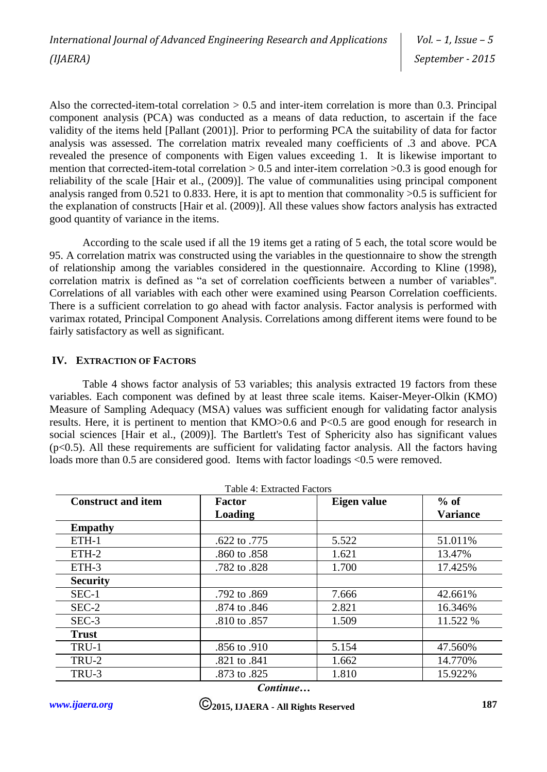Also the corrected-item-total correlation > 0.5 and inter-item correlation is more than 0.3. Principal component analysis (PCA) was conducted as a means of data reduction, to ascertain if the face validity of the items held [Pallant (2001)]. Prior to performing PCA the suitability of data for factor analysis was assessed. The correlation matrix revealed many coefficients of .3 and above. PCA revealed the presence of components with Eigen values exceeding 1. It is likewise important to mention that corrected-item-total correlation  $> 0.5$  and inter-item correlation  $> 0.3$  is good enough for reliability of the scale [Hair et al., (2009)]. The value of communalities using principal component analysis ranged from 0.521 to 0.833. Here, it is apt to mention that commonality >0.5 is sufficient for the explanation of constructs [Hair et al. (2009)]. All these values show factors analysis has extracted good quantity of variance in the items.

According to the scale used if all the 19 items get a rating of 5 each, the total score would be 95. A correlation matrix was constructed using the variables in the questionnaire to show the strength of relationship among the variables considered in the questionnaire. According to Kline (1998), correlation matrix is defined as "a set of correlation coefficients between a number of variables''. Correlations of all variables with each other were examined using Pearson Correlation coefficients. There is a sufficient correlation to go ahead with factor analysis. Factor analysis is performed with varimax rotated, Principal Component Analysis. Correlations among different items were found to be fairly satisfactory as well as significant.

## **IV. EXTRACTION OF FACTORS**

Table 4 shows factor analysis of 53 variables; this analysis extracted 19 factors from these variables. Each component was defined by at least three scale items. Kaiser-Meyer-Olkin (KMO) Measure of Sampling Adequacy (MSA) values was sufficient enough for validating factor analysis results. Here, it is pertinent to mention that KMO>0.6 and P<0.5 are good enough for research in social sciences [Hair et al., (2009)]. The Bartlett's Test of Sphericity also has significant values  $(p<0.5)$ . All these requirements are sufficient for validating factor analysis. All the factors having loads more than 0.5 are considered good. Items with factor loadings <0.5 were removed.

| <b>Construct and item</b> | <b>Factor</b>  | Eigen value | $%$ of          |
|---------------------------|----------------|-------------|-----------------|
|                           | <b>Loading</b> |             | <b>Variance</b> |
| <b>Empathy</b>            |                |             |                 |
| ETH-1                     | .622 to .775   | 5.522       | 51.011%         |
| $ETH-2$                   | .860 to .858   | 1.621       | 13.47%          |
| ETH-3                     | .782 to .828   | 1.700       | 17.425%         |
| <b>Security</b>           |                |             |                 |
| $SEC-1$                   | .792 to .869   | 7.666       | 42.661%         |
| $SEC-2$                   | .874 to .846   | 2.821       | 16.346%         |
| $SEC-3$                   | .810 to .857   | 1.509       | 11.522 %        |
| <b>Trust</b>              |                |             |                 |
| TRU-1                     | .856 to .910   | 5.154       | 47.560%         |
| TRU-2                     | .821 to .841   | 1.662       | 14.770%         |
| TRU-3                     | .873 to .825   | 1.810       | 15.922%         |

*Continue…*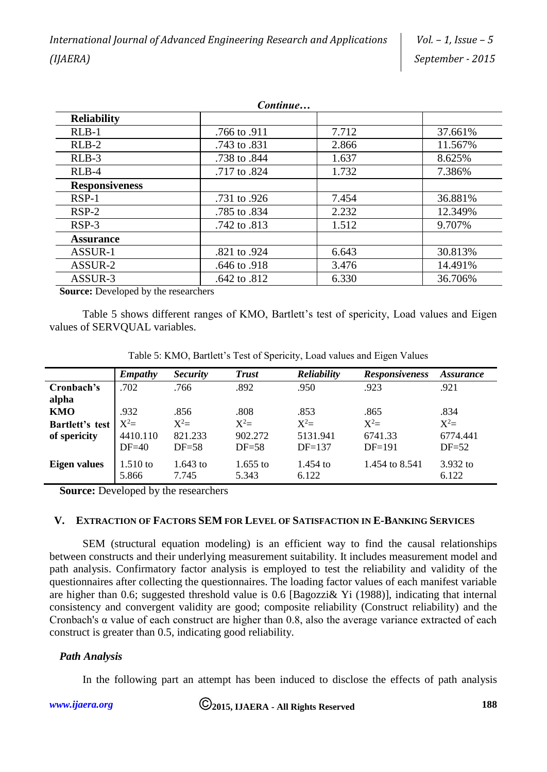| Continue              |              |       |         |  |  |
|-----------------------|--------------|-------|---------|--|--|
| <b>Reliability</b>    |              |       |         |  |  |
| $RLB-1$               | .766 to .911 | 7.712 | 37.661% |  |  |
| $RLB-2$               | .743 to .831 | 2.866 | 11.567% |  |  |
| $RLB-3$               | .738 to .844 | 1.637 | 8.625%  |  |  |
| $RLB-4$               | .717 to .824 | 1.732 | 7.386%  |  |  |
| <b>Responsiveness</b> |              |       |         |  |  |
| $RSP-1$               | .731 to .926 | 7.454 | 36.881% |  |  |
| $RSP-2$               | .785 to .834 | 2.232 | 12.349% |  |  |
| $RSP-3$               | .742 to .813 | 1.512 | 9.707%  |  |  |
| <b>Assurance</b>      |              |       |         |  |  |
| ASSUR-1               | .821 to .924 | 6.643 | 30.813% |  |  |
| ASSUR-2               | .646 to .918 | 3.476 | 14.491% |  |  |
| ASSUR-3               | .642 to .812 | 6.330 | 36.706% |  |  |

**Source:** Developed by the researchers

Table 5 shows different ranges of KMO, Bartlett's test of spericity, Load values and Eigen values of SERVQUAL variables.

|                 | <b>Empathy</b> | <b>Security</b> | <b>Trust</b> | Reliability | <b>Responsiveness</b> | <i>Assurance</i> |
|-----------------|----------------|-----------------|--------------|-------------|-----------------------|------------------|
| Cronbach's      | .702           | .766            | .892         | .950        | .923                  | .921             |
| alpha           |                |                 |              |             |                       |                  |
| KMO             | .932           | .856            | .808         | .853        | .865                  | .834             |
| Bartlett's test | $X^2=$         | $X^2=$          | $X^2=$       | $X^2=$      | $X^2=$                | $X^2=$           |
| of spericity    | 4410.110       | 821.233         | 902.272      | 5131.941    | 6741.33               | 6774.441         |
|                 | $DF=40$        | $DF = 58$       | $DF = 58$    | $DF=137$    | $DF=191$              | $DF = 52$        |
| Eigen values    | $1.510$ to     | $1.643$ to      | $1.655$ to   | $1.454$ to  | 1.454 to 8.541        | 3.932 to         |
|                 | 5.866          | 7.745           | 5.343        | 6.122       |                       | 6.122            |

Table 5: KMO, Bartlett's Test of Spericity, Load values and Eigen Values

**Source:** Developed by the researchers

#### **V. EXTRACTION OF FACTORS SEM FOR LEVEL OF SATISFACTION IN E-BANKING SERVICES**

SEM (structural equation modeling) is an efficient way to find the causal relationships between constructs and their underlying measurement suitability. It includes measurement model and path analysis. Confirmatory factor analysis is employed to test the reliability and validity of the questionnaires after collecting the questionnaires. The loading factor values of each manifest variable are higher than 0.6; suggested threshold value is 0.6 [Bagozzi& Yi (1988)], indicating that internal consistency and convergent validity are good; composite reliability (Construct reliability) and the Cronbach's α value of each construct are higher than 0.8, also the average variance extracted of each construct is greater than 0.5, indicating good reliability.

## *Path Analysis*

In the following part an attempt has been induced to disclose the effects of path analysis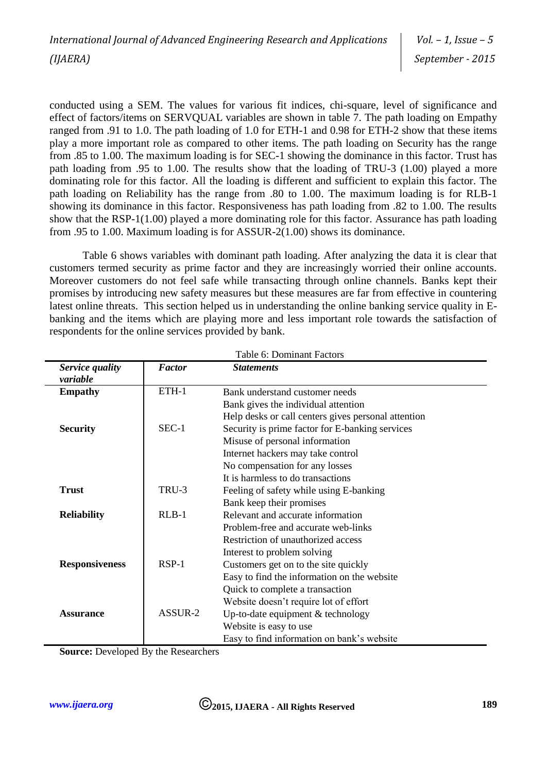conducted using a SEM. The values for various fit indices, chi-square, level of significance and effect of factors/items on SERVQUAL variables are shown in table 7. The path loading on Empathy ranged from .91 to 1.0. The path loading of 1.0 for ETH-1 and 0.98 for ETH-2 show that these items play a more important role as compared to other items. The path loading on Security has the range from .85 to 1.00. The maximum loading is for SEC-1 showing the dominance in this factor. Trust has path loading from .95 to 1.00. The results show that the loading of TRU-3 (1.00) played a more dominating role for this factor. All the loading is different and sufficient to explain this factor. The path loading on Reliability has the range from .80 to 1.00. The maximum loading is for RLB-1 showing its dominance in this factor. Responsiveness has path loading from .82 to 1.00. The results show that the RSP-1(1.00) played a more dominating role for this factor. Assurance has path loading from .95 to 1.00. Maximum loading is for ASSUR-2(1.00) shows its dominance.

Table 6 shows variables with dominant path loading. After analyzing the data it is clear that customers termed security as prime factor and they are increasingly worried their online accounts. Moreover customers do not feel safe while transacting through online channels. Banks kept their promises by introducing new safety measures but these measures are far from effective in countering latest online threats. This section helped us in understanding the online banking service quality in Ebanking and the items which are playing more and less important role towards the satisfaction of respondents for the online services provided by bank.

| Table 6: Dominant Factors   |               |                                                     |  |  |
|-----------------------------|---------------|-----------------------------------------------------|--|--|
| Service quality<br>variable | <b>Factor</b> | <b>Statements</b>                                   |  |  |
| <b>Empathy</b>              | ETH-1         | Bank understand customer needs                      |  |  |
|                             |               | Bank gives the individual attention                 |  |  |
|                             |               | Help desks or call centers gives personal attention |  |  |
| <b>Security</b>             | $SEC-1$       | Security is prime factor for E-banking services     |  |  |
|                             |               | Misuse of personal information                      |  |  |
|                             |               | Internet hackers may take control                   |  |  |
|                             |               | No compensation for any losses                      |  |  |
|                             |               | It is harmless to do transactions                   |  |  |
| <b>Trust</b>                | TRU-3         | Feeling of safety while using E-banking             |  |  |
|                             |               | Bank keep their promises                            |  |  |
| <b>Reliability</b>          | $RLB-1$       | Relevant and accurate information                   |  |  |
|                             |               | Problem-free and accurate web-links                 |  |  |
|                             |               | Restriction of unauthorized access                  |  |  |
|                             |               | Interest to problem solving                         |  |  |
| <b>Responsiveness</b>       | $RSP-1$       | Customers get on to the site quickly                |  |  |
|                             |               | Easy to find the information on the website         |  |  |
|                             |               | Quick to complete a transaction                     |  |  |
|                             |               | Website doesn't require lot of effort               |  |  |
| <b>Assurance</b>            | ASSUR-2       | Up-to-date equipment $&$ technology                 |  |  |
|                             |               | Website is easy to use                              |  |  |
|                             |               | Easy to find information on bank's website          |  |  |

**Source:** Developed By the Researchers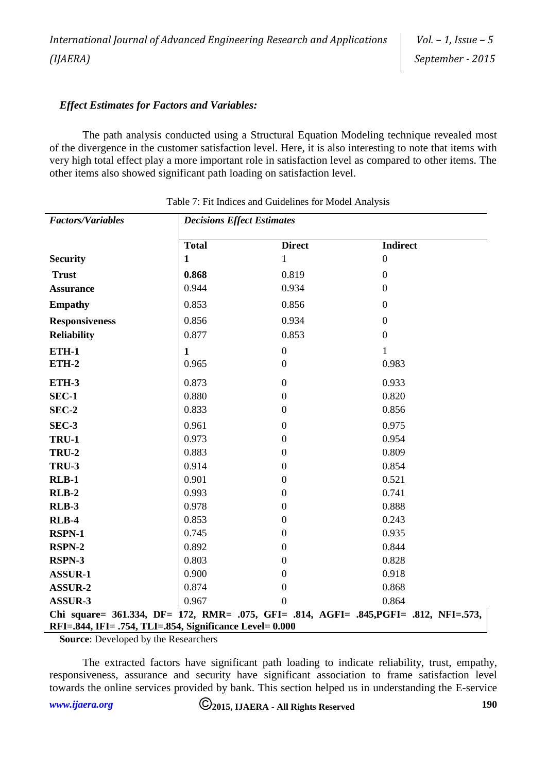# *Effect Estimates for Factors and Variables:*

The path analysis conducted using a Structural Equation Modeling technique revealed most of the divergence in the customer satisfaction level. Here, it is also interesting to note that items with very high total effect play a more important role in satisfaction level as compared to other items. The other items also showed significant path loading on satisfaction level.

| <b>Factors/Variables</b>                                 | <b>Decisions Effect Estimates</b> |                  |                                                                                       |  |  |
|----------------------------------------------------------|-----------------------------------|------------------|---------------------------------------------------------------------------------------|--|--|
|                                                          | <b>Total</b>                      | <b>Direct</b>    | <b>Indirect</b>                                                                       |  |  |
| <b>Security</b>                                          | $\mathbf{1}$                      | $\mathbf{1}$     | $\boldsymbol{0}$                                                                      |  |  |
| <b>Trust</b>                                             | 0.868                             | 0.819            | $\boldsymbol{0}$                                                                      |  |  |
| <b>Assurance</b>                                         | 0.944                             | 0.934            | $\theta$                                                                              |  |  |
| <b>Empathy</b>                                           | 0.853                             | 0.856            | $\overline{0}$                                                                        |  |  |
| <b>Responsiveness</b>                                    | 0.856                             | 0.934            | $\overline{0}$                                                                        |  |  |
| <b>Reliability</b>                                       | 0.877                             | 0.853            | $\overline{0}$                                                                        |  |  |
| <b>ETH-1</b>                                             | $\mathbf{1}$                      | $\boldsymbol{0}$ | 1                                                                                     |  |  |
| <b>ETH-2</b>                                             | 0.965                             | $\boldsymbol{0}$ | 0.983                                                                                 |  |  |
| ETH-3                                                    | 0.873                             | $\boldsymbol{0}$ | 0.933                                                                                 |  |  |
| <b>SEC-1</b>                                             | 0.880                             | $\boldsymbol{0}$ | 0.820                                                                                 |  |  |
| SEC-2                                                    | 0.833                             | $\boldsymbol{0}$ | 0.856                                                                                 |  |  |
| SEC-3                                                    | 0.961                             | $\boldsymbol{0}$ | 0.975                                                                                 |  |  |
| <b>TRU-1</b>                                             | 0.973                             | $\boldsymbol{0}$ | 0.954                                                                                 |  |  |
| <b>TRU-2</b>                                             | 0.883                             | $\boldsymbol{0}$ | 0.809                                                                                 |  |  |
| <b>TRU-3</b>                                             | 0.914                             | $\boldsymbol{0}$ | 0.854                                                                                 |  |  |
| $RLB-1$                                                  | 0.901                             | $\boldsymbol{0}$ | 0.521                                                                                 |  |  |
| $RLB-2$                                                  | 0.993                             | $\mathbf{0}$     | 0.741                                                                                 |  |  |
| <b>RLB-3</b>                                             | 0.978                             | $\boldsymbol{0}$ | 0.888                                                                                 |  |  |
| <b>RLB-4</b>                                             | 0.853                             | $\boldsymbol{0}$ | 0.243                                                                                 |  |  |
| <b>RSPN-1</b>                                            | 0.745                             | $\overline{0}$   | 0.935                                                                                 |  |  |
| <b>RSPN-2</b>                                            | 0.892                             | $\Omega$         | 0.844                                                                                 |  |  |
| RSPN-3                                                   | 0.803                             | $\boldsymbol{0}$ | 0.828                                                                                 |  |  |
| <b>ASSUR-1</b>                                           | 0.900                             | $\overline{0}$   | 0.918                                                                                 |  |  |
| <b>ASSUR-2</b>                                           | 0.874                             | $\boldsymbol{0}$ | 0.868                                                                                 |  |  |
| <b>ASSUR-3</b>                                           | 0.967                             | $\overline{0}$   | 0.864                                                                                 |  |  |
|                                                          |                                   |                  | Chi square= 361.334, DF= 172, RMR= .075, GFI= .814, AGFI= .845, PGFI= .812, NFI=.573, |  |  |
| RFI=.844, IFI= .754, TLI=.854, Significance Level= 0.000 |                                   |                  |                                                                                       |  |  |

**Source:** Developed by the Researchers

The extracted factors have significant path loading to indicate reliability, trust, empathy, responsiveness, assurance and security have significant association to frame satisfaction level towards the online services provided by bank. This section helped us in understanding the E-service

*[www.ijaera.org](../../www.ijaera.org)* **2015, IJAERA - All Rights Reserved 190**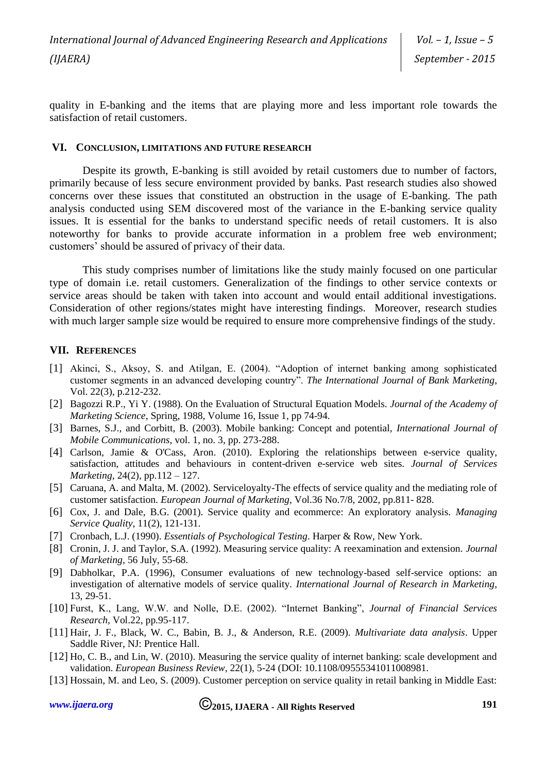quality in E-banking and the items that are playing more and less important role towards the satisfaction of retail customers.

#### **VI. CONCLUSION, LIMITATIONS AND FUTURE RESEARCH**

Despite its growth, E-banking is still avoided by retail customers due to number of factors, primarily because of less secure environment provided by banks. Past research studies also showed concerns over these issues that constituted an obstruction in the usage of E-banking. The path analysis conducted using SEM discovered most of the variance in the E-banking service quality issues. It is essential for the banks to understand specific needs of retail customers. It is also noteworthy for banks to provide accurate information in a problem free web environment; customers' should be assured of privacy of their data.

This study comprises number of limitations like the study mainly focused on one particular type of domain i.e. retail customers. Generalization of the findings to other service contexts or service areas should be taken with taken into account and would entail additional investigations. Consideration of other regions/states might have interesting findings. Moreover, research studies with much larger sample size would be required to ensure more comprehensive findings of the study.

#### **VII. REFERENCES**

- [1] Akinci, S., Aksoy, S. and Atilgan, E. (2004). "Adoption of internet banking among sophisticated customer segments in an advanced developing country". *The International Journal of Bank Marketing*, Vol. 22(3), p.212-232.
- [2] Bagozzi R.P., Yi Y. (1988). On the Evaluation of Structural Equation Models. *Journal of the Academy of Marketing Science*, Spring, 1988, Volume 16, Issue 1, pp 74-94.
- [3] Barnes, S.J., and Corbitt, B. (2003). Mobile banking: Concept and potential, *International Journal of Mobile Communications*, vol. 1, no. 3, pp. 273-288.
- [4] Carlson, Jamie & O'Cass, Aron. (2010). Exploring the relationships between e-service quality, satisfaction, attitudes and behaviours in content-driven e-service web sites. *Journal of Services Marketing*, 24(2), pp.112 – 127.
- [5] Caruana, A. and Malta, M. (2002). Serviceloyalty-The effects of service quality and the mediating role of customer satisfaction. *European Journal of Marketing*, Vol.36 No.7/8, 2002, pp.811- 828.
- [6] Cox, J. and Dale, B.G. (2001). Service quality and ecommerce: An exploratory analysis. *Managing Service Quality*, 11(2), 121-131.
- [7] Cronbach, L.J. (1990). *Essentials of Psychological Testing*. Harper & Row, New York.
- [8] Cronin, J. J. and Taylor, S.A. (1992). Measuring service quality: A reexamination and extension. *Journal of Marketing*, 56 July, 55-68.
- [9] Dabholkar, P.A. (1996), Consumer evaluations of new technology-based self-service options: an investigation of alternative models of service quality. *International Journal of Research in Marketing*, 13, 29-51.
- [10] Furst, K., Lang, W.W. and Nolle, D.E. (2002). "Internet Banking", *Journal of Financial Services Research*, Vol.22, pp.95-117.
- [11] Hair, J. F., Black, W. C., Babin, B. J., & Anderson, R.E. (2009). *Multivariate data analysis*. Upper Saddle River, NJ: Prentice Hall.
- [12] Ho, C. B., and Lin, W. (2010). Measuring the service quality of internet banking: scale development and validation. *European Business Review*, 22(1), 5-24 (DOI: 10.1108/09555341011008981.
- [13] Hossain, M. and Leo, S. (2009). Customer perception on service quality in retail banking in Middle East: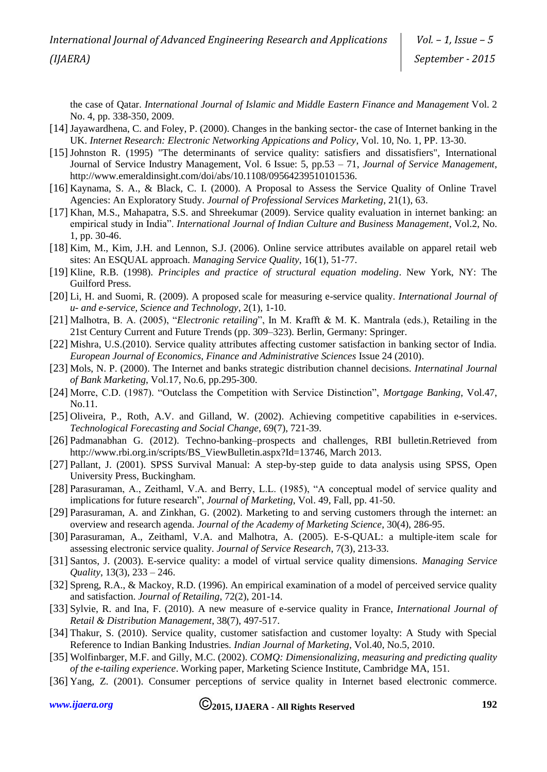the case of Qatar. *International Journal of Islamic and Middle Eastern Finance and Management* Vol. 2 No. 4, pp. 338-350, 2009.

- [14] Jayawardhena, C. and Foley, P. (2000). Changes in the banking sector- the case of Internet banking in the UK. *Internet Research: Electronic Networking Appications and Policy*, Vol. 10, No. 1, PP. 13-30.
- [15] Johnston R. (1995) "The determinants of service quality: satisfiers and dissatisfiers", International Journal of Service Industry Management, Vol. 6 Issue: 5, pp.53 – 71, *Journal of Service Management*, http://www.emeraldinsight.com/doi/abs/10.1108/09564239510101536.
- [16] Kaynama, S. A., & Black, C. I. (2000). A Proposal to Assess the Service Quality of Online Travel Agencies: An Exploratory Study. *Journal of Professional Services Marketing*, 21(1), 63.
- [17] Khan, M.S., Mahapatra, S.S. and Shreekumar (2009). Service quality evaluation in internet banking: an empirical study in India". *International Journal of Indian Culture and Business Management*, Vol.2, No. 1, pp. 30-46.
- [18] Kim, M., Kim, J.H. and Lennon, S.J. (2006). Online service attributes available on apparel retail web sites: An ESQUAL approach. *Managing Service Quality*, 16(1), 51-77.
- [19] Kline, R.B. (1998). *Principles and practice of structural equation modeling*. New York, NY: The Guilford Press.
- [20] Li, H. and Suomi, R. (2009). A proposed scale for measuring e-service quality. *International Journal of u- and e-service, Science and Technology*, 2(1), 1-10.
- [21] Malhotra, B. A. (2005), "*Electronic retailing*", In M. Krafft & M. K. Mantrala (eds.), Retailing in the 21st Century Current and Future Trends (pp. 309–323). Berlin, Germany: Springer.
- [22] Mishra, U.S.(2010). Service quality attributes affecting customer satisfaction in banking sector of India. *European Journal of Economics, Finance and Administrative Sciences* Issue 24 (2010).
- [23] Mols, N. P. (2000). The Internet and banks strategic distribution channel decisions. *Internatinal Journal of Bank Marketing*, Vol.17, No.6, pp.295-300.
- [24] Morre, C.D. (1987). "Outclass the Competition with Service Distinction", *Mortgage Banking*, Vol.47, No.11.
- [25] Oliveira, P., Roth, A.V. and Gilland, W. (2002). Achieving competitive capabilities in e-services. *Technological Forecasting and Social Change*, 69(7), 721-39.
- [26] Padmanabhan G. (2012). Techno-banking–prospects and challenges, RBI bulletin.Retrieved from http://www.rbi.org.in/scripts/BS\_ViewBulletin.aspx?Id=13746, March 2013.
- [27] Pallant, J. (2001). SPSS Survival Manual: A step-by-step guide to data analysis using SPSS, Open University Press, Buckingham.
- [28] Parasuraman, A., Zeithaml, V.A. and Berry, L.L. (1985), "A conceptual model of service quality and implications for future research", *Journal of Marketing*, Vol. 49, Fall, pp. 41-50.
- [29] Parasuraman, A. and Zinkhan, G. (2002). Marketing to and serving customers through the internet: an overview and research agenda. *Journal of the Academy of Marketing Science*, 30(4), 286-95.
- [30] Parasuraman, A., Zeithaml, V.A. and Malhotra, A. (2005). E-S-QUAL: a multiple-item scale for assessing electronic service quality. *Journal of Service Research*, 7(3), 213-33.
- [31] Santos, J. (2003). E-service quality: a model of virtual service quality dimensions. *Managing Service Quality*, 13(3), 233 – 246.
- [32] Spreng, R.A., & Mackoy, R.D. (1996). An empirical examination of a model of perceived service quality and satisfaction. *Journal of Retailing*, 72(2), 201-14.
- [33] Sylvie, R. and Ina, F. (2010). A new measure of e-service quality in France, *International Journal of Retail & Distribution Management*, 38(7), 497-517.
- [34] Thakur, S. (2010). Service quality, customer satisfaction and customer loyalty: A Study with Special Reference to Indian Banking Industries. *Indian Journal of Marketing,* Vol.40, No.5, 2010.
- [35] Wolfinbarger, M.F. and Gilly, M.C. (2002). *COMQ: Dimensionalizing, measuring and predicting quality of the e-tailing experience*. Working paper, Marketing Science Institute, Cambridge MA, 151.
- [36] Yang, Z. (2001). Consumer perceptions of service quality in Internet based electronic commerce.